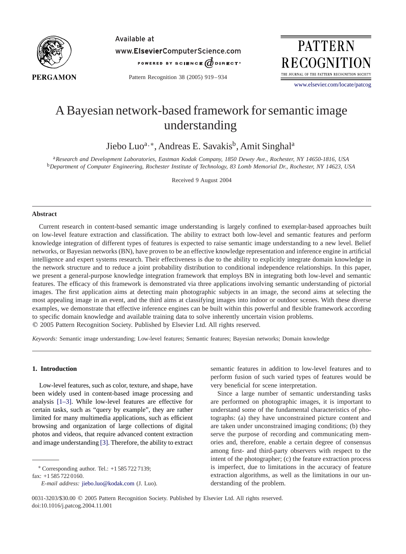

Available at www.ElsevierComputerScience.com POWERED BY SCIENCE @DIRECT\*

Pattern Recognition 38 (2005) 919 – 934

**PATTERN RECOGNIT** THE JOURNAL OF THE PATTERN RECOGNITION SOCIETY

[www.elsevier.com/locate/patcog](http://www.elsevier.com/locate/patcog)

# A Bayesian network-based framework for semantic image understanding

Jiebo Luo<sup>a,∗</sup>, Andreas E. Savakis<sup>b</sup>, Amit Singhal<sup>a</sup>

<sup>a</sup>*Research and Development Laboratories, Eastman Kodak Company, 1850 Dewey Ave., Rochester, NY 14650-1816, USA* <sup>b</sup>*Department of Computer Engineering, Rochester Institute of Technology, 83 Lomb Memorial Dr., Rochester, NY 14623, USA*

Received 9 August 2004

## **Abstract**

Current research in content-based semantic image understanding is largely confined to exemplar-based approaches built on low-level feature extraction and classification. The ability to extract both low-level and semantic features and perform knowledge integration of different types of features is expected to raise semantic image understanding to a new level. Belief networks, or Bayesian networks (BN), have proven to be an effective knowledge representation and inference engine in artificial intelligence and expert systems research. Their effectiveness is due to the ability to explicitly integrate domain knowledge in the network structure and to reduce a joint probability distribution to conditional independence relationships. In this paper, we present a general-purpose knowledge integration framework that employs BN in integrating both low-level and semantic features. The efficacy of this framework is demonstrated via three applications involving semantic understanding of pictorial images. The first application aims at detecting main photographic subjects in an image, the second aims at selecting the most appealing image in an event, and the third aims at classifying images into indoor or outdoor scenes. With these diverse examples, we demonstrate that effective inference engines can be built within this powerful and flexible framework according to specific domain knowledge and available training data to solve inherently uncertain vision problems. 2005 Pattern Recognition Society. Published by Elsevier Ltd. All rights reserved.

*Keywords:* Semantic image understanding; Low-level features; Semantic features; Bayesian networks; Domain knowledge

# **1. Introduction**

Low-level features, such as color, texture, and shape, have been widely used in content-based image processing and analysis [1–3]. While low-level features are effective for certain tasks, such as "query by example", they are rather limited for many multimedia applications, such as efficient browsing and organization of large collections of digital photos and videos, that require advanced content extraction and image understanding [\[3\].](#page-13-0) Therefore, the ability to extract

<sup>∗</sup> Corresponding author. Tel.: +1 585 722 7139; fax: +1 585 722 0160.

semantic features in addition to low-level features and to perform fusion of such varied types of features would be very beneficial for scene interpretation.

Since a large number of semantic understanding tasks are performed on photographic images, it is important to understand some of the fundamental characteristics of photographs: (a) they have unconstrained picture content and are taken under unconstrained imaging conditions; (b) they serve the purpose of recording and communicating memories and, therefore, enable a certain degree of consensus among first- and third-party observers with respect to the intent of the photographer; (c) the feature extraction process is imperfect, due to limitations in the accuracy of feature extraction algorithms, as well as the limitations in our understanding of the problem.

0031-3203/\$30.00 2005 Pattern Recognition Society. Published by Elsevier Ltd. All rights reserved. doi:10.1016/j.patcog.2004.11.001

*E-mail address:* [jiebo.luo@kodak.com](mailto:jiebo.luo@kodak.com) (J. Luo).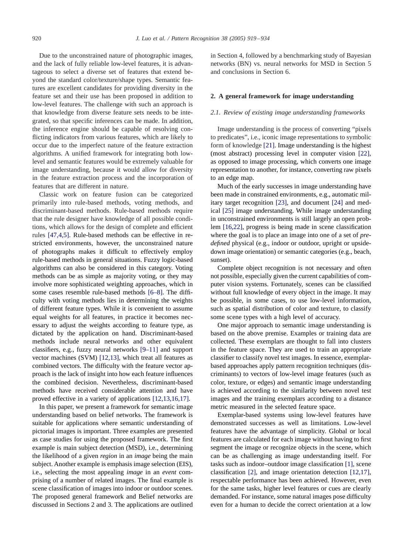Due to the unconstrained nature of photographic images, and the lack of fully reliable low-level features, it is advantageous to select a diverse set of features that extend beyond the standard color/texture/shape types. Semantic features are excellent candidates for providing diversity in the feature set and their use has been proposed in addition to low-level features. The challenge with such an approach is that knowledge from diverse feature sets needs to be integrated, so that specific inferences can be made. In addition, the inference engine should be capable of resolving conflicting indicators from various features, which are likely to occur due to the imperfect nature of the feature extraction algorithms. A unified framework for integrating both lowlevel and semantic features would be extremely valuable for image understanding, because it would allow for diversity in the feature extraction process and the incorporation of features that are different in nature.

Classic work on feature fusion can be categorized primarily into rule-based methods, voting methods, and discriminant-based methods. Rule-based methods require that the rule designer have knowledge of all possible conditions, which allows for the design of complete and efficient rules [47,4,5]. Rule-based methods can be effective in restricted environments, however, the unconstrained nature of photographs makes it difficult to effectively employ rule-based methods in general situations. Fuzzy logic-based algorithms can also be considered in this category. Voting methods can be as simple as majority voting, or they may involve more sophisticated weighting approaches, which in some cases resemble rule-based methods [6–8]. The difficulty with voting methods lies in determining the weights of different feature types. While it is convenient to assume equal weights for all features, in practice it becomes necessary to adjust the weights according to feature type, as dictated by the application on hand. Discriminant-based methods include neural networks and other equivalent classifiers, e.g., fuzzy neural networks [9–11] and support vector machines (SVM) [12,13], which treat all features as combined vectors. The difficulty with the feature vector approach is the lack of insight into how each feature influences the combined decision. Nevertheless, discriminant-based methods have received considerable attention and have proved effective in a variety of applications [12,13,16,17].

In this paper, we present a framework for semantic image understanding based on belief networks. The framework is suitable for applications where semantic understanding of pictorial images is important. Three examples are presented as case studies for using the proposed framework. The first example is main subject detection (MSD), i.e., determining the likelihood of a given *region* in an *image* being the main subject. Another example is emphasis image selection (EIS), i.e., selecting the most appealing *image* in an *event* comprising of a number of related images. The final example is scene classification of images into indoor or outdoor scenes. The proposed general framework and Belief networks are discussed in Sections 2 and 3. The applications are outlined in Section 4, followed by a benchmarking study of Bayesian networks (BN) vs. neural networks for MSD in Section 5 and conclusions in Section 6.

# **2. A general framework for image understanding**

# *2.1. Review of existing image understanding frameworks*

Image understanding is the process of converting "pixels to predicates", i.e., iconic image representations to symbolic form of knowledge [\[21\].](#page-13-0) Image understanding is the highest (most abstract) processing level in computer vision [\[22\],](#page-13-0) as opposed to image processing, which converts one image representation to another, for instance, converting raw pixels to an edge map.

Much of the early successes in image understanding have been made in constrained environments, e.g., automatic military target recognition [\[23\],](#page-13-0) and document [\[24\]](#page-13-0) and medical [\[25\]](#page-13-0) image understanding. While image understanding in unconstrained environments is still largely an open problem [16,22], progress is being made in scene classification where the goal is to place an image into one of a set of *predefined* physical (e.g., indoor or outdoor, upright or upsidedown image orientation) or semantic categories (e.g., beach, sunset).

Complete object recognition is not necessary and often not possible, especially given the current capabilities of computer vision systems. Fortunately, scenes can be classified without full knowledge of every object in the image. It may be possible, in some cases, to use low-level information, such as spatial distribution of color and texture, to classify some scene types with a high level of accuracy.

One major approach to semantic image understanding is based on the above premise. Examples or training data are collected. These exemplars are thought to fall into clusters in the feature space. They are used to train an appropriate classifier to classify novel test images. In essence, exemplarbased approaches apply pattern recognition techniques (discriminants) to vectors of low-level image features (such as color, texture, or edges) and semantic image understanding is achieved according to the similarity between novel test images and the training exemplars according to a distance metric measured in the selected feature space.

Exemplar-based systems using low-level features have demonstrated successes as well as limitations. Low-level features have the advantage of simplicity. Global or local features are calculated for each image without having to first segment the image or recognize objects in the scene, which can be as challenging as image understanding itself. For tasks such as indoor–outdoor image classification [\[1\],](#page-13-0) scene classification [\[2\],](#page-13-0) and image orientation detection [12,17], respectable performance has been achieved. However, even for the same tasks, higher level features or cues are clearly demanded. For instance, some natural images pose difficulty even for a human to decide the correct orientation at a low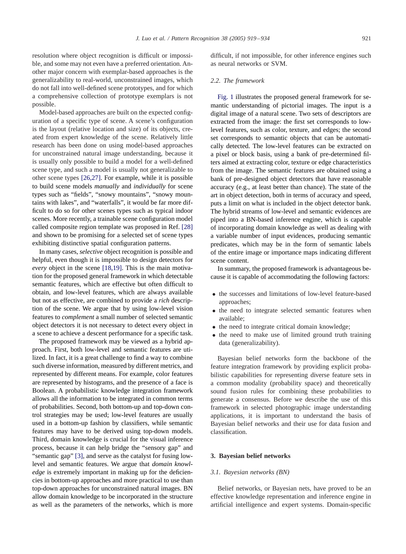resolution where object recognition is difficult or impossible, and some may not even have a preferred orientation. Another major concern with exemplar-based approaches is the generalizability to real-world, unconstrained images, which do not fall into well-defined scene prototypes, and for which a comprehensive collection of prototype exemplars is not possible.

Model-based approaches are built on the expected configuration of a specific type of scene. A scene's configuration is the layout (relative location and size) of its objects, created from expert knowledge of the scene. Relatively little research has been done on using model-based approaches for unconstrained natural image understanding, because it is usually only possible to build a model for a well-defined scene type, and such a model is usually not generalizable to other scene types [26,27]. For example, while it is possible to build scene models *manually* and *individually* for scene types such as "fields", "snowy mountains", "snowy mountains with lakes", and "waterfalls", it would be far more difficult to do so for other scenes types such as typical indoor scenes. More recently, a trainable scene configuration model called composite region template was proposed in Ref. [\[28\]](#page-14-0) and shown to be promising for a selected set of scene types exhibiting distinctive spatial configuration patterns.

In many cases, *selective* object recognition is possible and helpful, even though it is impossible to design detectors for *every* object in the scene [18,19]. This is the main motivation for the proposed general framework in which detectable semantic features, which are effective but often difficult to obtain, and low-level features, which are always available but not as effective, are combined to provide a *rich* description of the scene. We argue that by using low-level vision features to *complement* a small number of selected semantic object detectors it is not necessary to detect every object in a scene to achieve a descent performance for a specific task.

The proposed framework may be viewed as a hybrid approach. First, both low-level and semantic features are utilized. In fact, it is a great challenge to find a way to combine such diverse information, measured by different metrics, and represented by different means. For example, color features are represented by histograms, and the presence of a face is Boolean. A probabilistic knowledge integration framework allows all the information to be integrated in common terms of probabilities. Second, both bottom-up and top-down control strategies may be used; low-level features are usually used in a bottom-up fashion by classifiers, while semantic features may have to be derived using top-down models. Third, domain knowledge is crucial for the visual inference process, because it can help bridge the "sensory gap" and "semantic gap" [\[3\],](#page-13-0) and serve as the catalyst for fusing lowlevel and semantic features. We argue that *domain knowledge* is extremely important in making up for the deficiencies in bottom-up approaches and more practical to use than top-down approaches for unconstrained natural images. BN allow domain knowledge to be incorporated in the structure as well as the parameters of the networks, which is more

difficult, if not impossible, for other inference engines such as neural networks or SVM.

# *2.2. The framework*

[Fig. 1](#page-3-0) illustrates the proposed general framework for semantic understanding of pictorial images. The input is a digital image of a natural scene. Two sets of descriptors are extracted from the image: the first set corresponds to lowlevel features, such as color, texture, and edges; the second set corresponds to semantic objects that can be automatically detected. The low-level features can be extracted on a pixel or block basis, using a bank of pre-determined filters aimed at extracting color, texture or edge characteristics from the image. The semantic features are obtained using a bank of pre-designed object detectors that have reasonable accuracy (e.g., at least better than chance). The state of the art in object detection, both in terms of accuracy and speed, puts a limit on what is included in the object detector bank. The hybrid streams of low-level and semantic evidences are piped into a BN-based inference engine, which is capable of incorporating domain knowledge as well as dealing with a variable number of input evidences, producing semantic predicates, which may be in the form of semantic labels of the entire image or importance maps indicating different scene content.

In summary, the proposed framework is advantageous because it is capable of accommodating the following factors:

- the successes and limitations of low-level feature-based approaches;
- the need to integrate selected semantic features when available;
- the need to integrate critical domain knowledge;
- the need to make use of limited ground truth training data (generalizability).

Bayesian belief networks form the backbone of the feature integration framework by providing explicit probabilistic capabilities for representing diverse feature sets in a common modality (probability space) and theoretically sound fusion rules for combining these probabilities to generate a consensus. Before we describe the use of this framework in selected photographic image understanding applications, it is important to understand the basis of Bayesian belief networks and their use for data fusion and classification.

#### **3. Bayesian belief networks**

#### *3.1. Bayesian networks (BN)*

Belief networks, or Bayesian nets, have proved to be an effective knowledge representation and inference engine in artificial intelligence and expert systems. Domain-specific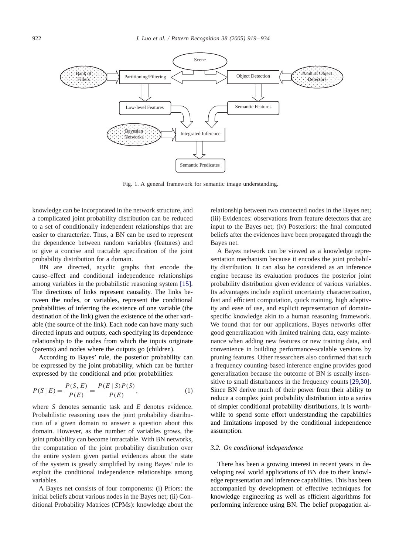<span id="page-3-0"></span>

Fig. 1. A general framework for semantic image understanding.

knowledge can be incorporated in the network structure, and a complicated joint probability distribution can be reduced to a set of conditionally independent relationships that are easier to characterize. Thus, a BN can be used to represent the dependence between random variables (features) and to give a concise and tractable specification of the joint probability distribution for a domain.

BN are directed, acyclic graphs that encode the cause–effect and conditional independence relationships among variables in the probabilistic reasoning system [\[15\].](#page-13-0) The directions of links represent causality. The links between the nodes, or variables, represent the conditional probabilities of inferring the existence of one variable (the destination of the link) given the existence of the other variable (the source of the link). Each node can have many such directed inputs and outputs, each specifying its dependence relationship to the nodes from which the inputs originate (parents) and nodes where the outputs go (children).

According to Bayes' rule, the posterior probability can be expressed by the joint probability, which can be further expressed by the conditional and prior probabilities:

$$
P(S | E) = \frac{P(S, E)}{P(E)} = \frac{P(E | S)P(S)}{P(E)},
$$
\n(1)

where *S* denotes semantic task and *E* denotes evidence. Probabilistic reasoning uses the joint probability distribution of a given domain to answer a question about this domain. However, as the number of variables grows, the joint probability can become intractable. With BN networks, the computation of the joint probability distribution over the entire system given partial evidences about the state of the system is greatly simplified by using Bayes' rule to exploit the conditional independence relationships among variables.

A Bayes net consists of four components: (i) Priors: the initial beliefs about various nodes in the Bayes net; (ii) Conditional Probability Matrices (CPMs): knowledge about the relationship between two connected nodes in the Bayes net; (iii) Evidences: observations from feature detectors that are input to the Bayes net; (iv) Posteriors: the final computed beliefs after the evidences have been propagated through the Bayes net.

A Bayes network can be viewed as a knowledge representation mechanism because it encodes the joint probability distribution. It can also be considered as an inference engine because its evaluation produces the posterior joint probability distribution given evidence of various variables. Its advantages include explicit uncertainty characterization, fast and efficient computation, quick training, high adaptivity and ease of use, and explicit representation of domainspecific knowledge akin to a human reasoning framework. We found that for our applications, Bayes networks offer good generalization with limited training data, easy maintenance when adding new features or new training data, and convenience in building performance-scalable versions by pruning features. Other researchers also confirmed that such a frequency counting-based inference engine provides good generalization because the outcome of BN is usually insensitive to small disturbances in the frequency counts [29,30]. Since BN derive much of their power from their ability to reduce a complex joint probability distribution into a series of simpler conditional probability distributions, it is worthwhile to spend some effort understanding the capabilities and limitations imposed by the conditional independence assumption.

#### *3.2. On conditional independence*

There has been a growing interest in recent years in developing real world applications of BN due to their knowledge representation and inference capabilities. This has been accompanied by development of effective techniques for knowledge engineering as well as efficient algorithms for performing inference using BN. The belief propagation al-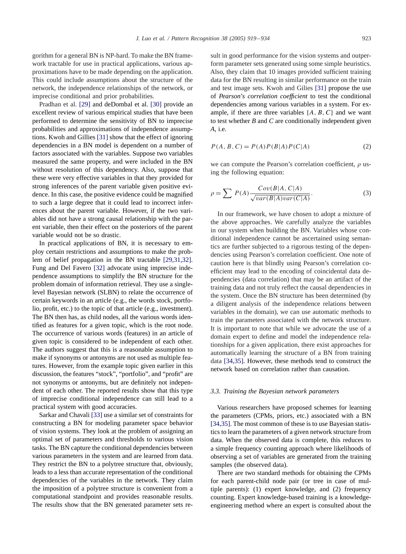gorithm for a general BN is NP-hard. To make the BN framework tractable for use in practical applications, various approximations have to be made depending on the application. This could include assumptions about the structure of the network, the independence relationships of the network, or imprecise conditional and prior probabilities.

Pradhan et al. [\[29\]](#page-14-0) and deDombal et al. [\[30\]](#page-14-0) provide an excellent review of various empirical studies that have been performed to determine the sensitivity of BN to imprecise probabilities and approximations of independence assumptions. Kwoh and Gillies [\[31\]](#page-14-0) show that the effect of ignoring dependencies in a BN model is dependent on a number of factors associated with the variables. Suppose two variables measured the same property, and were included in the BN without resolution of this dependency. Also, suppose that these were very effective variables in that they provided for strong inferences of the parent variable given positive evidence. In this case, the positive evidence could be magnified to such a large degree that it could lead to incorrect inferences about the parent variable. However, if the two variables did not have a strong causal relationship with the parent variable, then their effect on the posteriors of the parent variable would not be so drastic.

In practical applications of BN, it is necessary to employ certain restrictions and assumptions to make the problem of belief propagation in the BN tractable [29,31,32]. Fung and Del Favero [\[32\]](#page-14-0) advocate using imprecise independence assumptions to simplify the BN structure for the problem domain of information retrieval. They use a singlelevel Bayesian network (SLBN) to relate the occurrence of certain keywords in an article (e.g., the words stock, portfolio, profit, etc.) to the topic of that article (e.g., investment). The BN then has, as child nodes, all the various words identified as features for a given topic, which is the root node. The occurrence of various words (features) in an article of given topic is considered to be independent of each other. The authors suggest that this is a reasonable assumption to make if synonyms or antonyms are not used as multiple features. However, from the example topic given earlier in this discussion, the features "stock", "portfolio", and "profit" are not synonyms or antonyms, but are definitely not independent of each other. The reported results show that this type of imprecise conditional independence can still lead to a practical system with good accuracies.

Sarkar and Chavali [\[33\]](#page-14-0) use a similar set of constraints for constructing a BN for modeling parameter space behavior of vision systems. They look at the problem of assigning an optimal set of parameters and thresholds to various vision tasks. The BN capture the conditional dependencies between various parameters in the system and are learned from data. They restrict the BN to a polytree structure that, obviously, leads to a less than accurate representation of the conditional dependencies of the variables in the network. They claim the imposition of a polytree structure is convenient from a computational standpoint and provides reasonable results. The results show that the BN generated parameter sets re-

sult in good performance for the vision systems and outperform parameter sets generated using some simple heuristics. Also, they claim that 10 images provided sufficient training data for the BN resulting in similar performance on the train and test image sets. Kwoh and Gilies [\[31\]](#page-14-0) propose the use of *Pearson*'*s correlation coefficient* to test the conditional dependencies among various variables in a system. For example, if there are three variables  $\{A, B, C\}$  and we want to test whether *B* and *C* are conditionally independent given  $A$ , i.e.

$$
P(A, B, C) = P(A)P(B|A)P(C|A)
$$
\n<sup>(2)</sup>

we can compute the Pearson's correlation coefficient,  $\rho$  using the following equation:

$$
\rho = \sum P(A) \frac{Cov(B|A, C|A)}{\sqrt{var(B|A)var(C|A)}}.
$$
\n(3)

In our framework, we have chosen to adopt a mixture of the above approaches. We carefully analyze the variables in our system when building the BN. Variables whose conditional independence cannot be ascertained using semantics are further subjected to a rigorous testing of the dependencies using Pearson's correlation coefficient. One note of caution here is that blindly using Pearson's correlation coefficient may lead to the encoding of coincidental data dependencies (data correlation) that may be an artifact of the training data and not truly reflect the causal dependencies in the system. Once the BN structure has been determined (by a diligent analysis of the independence relations between variables in the domain), we can use automatic methods to train the parameters associated with the network structure. It is important to note that while we advocate the use of a domain expert to define and model the independence relationships for a given application, there exist approaches for automatically learning the structure of a BN from training data [34,35]. However, these methods tend to construct the network based on correlation rather than causation.

#### *3.3. Training the Bayesian network parameters*

Various researchers have proposed schemes for learning the parameters (CPMs, priors, etc.) associated with a BN [34,35]. The most common of these is to use Bayesian statistics to learn the parameters of a given network structure from data. When the observed data is complete, this reduces to a simple frequency counting approach where likelihoods of observing a set of variables are generated from the training samples (the observed data).

There are two standard methods for obtaining the CPMs for each parent-child node pair (or tree in case of multiple parents): (1) expert knowledge, and (2) frequency counting. Expert knowledge-based training is a knowledgeengineering method where an expert is consulted about the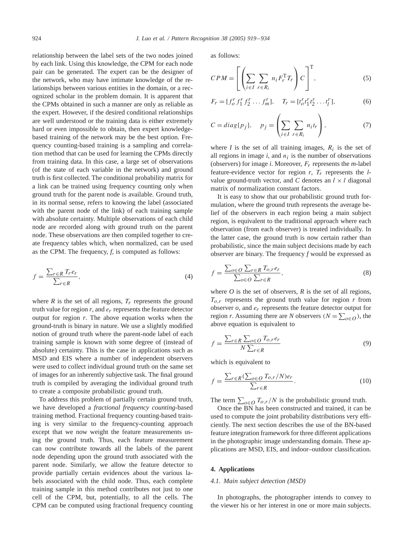relationship between the label sets of the two nodes joined by each link. Using this knowledge, the CPM for each node pair can be generated. The expert can be the designer of the network, who may have intimate knowledge of the relationships between various entities in the domain, or a recognized scholar in the problem domain. It is apparent that the CPMs obtained in such a manner are only as reliable as the expert. However, if the desired conditional relationships are well understood or the training data is either extremely hard or even impossible to obtain, then expert knowledgebased training of the network may be the best option. Frequency counting-based training is a sampling and correlation method that can be used for learning the CPMs directly from training data. In this case, a large set of observations (of the state of each variable in the network) and ground truth is first collected. The conditional probability matrix for a link can be trained using frequency counting only when ground truth for the parent node is available. Ground truth, in its normal sense, refers to knowing the label (associated with the parent node of the link) of each training sample with absolute certainty. Multiple observations of each child node are recorded along with ground truth on the parent node. These observations are then compiled together to create frequency tables which, when normalized, can be used as the CPM. The frequency, *f*, is computed as follows:

$$
f = \frac{\sum_{r \in R} T_r e_r}{\sum_{r \in R} ,}
$$
\n(4)

where  $R$  is the set of all regions,  $T_r$  represents the ground truth value for region  $r$ , and  $e_r$  represents the feature detector output for region *r*. The above equation works when the ground-truth is binary in nature. We use a slightly modified notion of ground truth where the parent-node label of each training sample is known with some degree of (instead of absolute) certainty. This is the case in applications such as MSD and EIS where a number of independent observers were used to collect individual ground truth on the same set of images for an inherently subjective task. The final ground truth is compiled by averaging the individual ground truth to create a composite probabilistic ground truth.

To address this problem of partially certain ground truth, we have developed a *fractional frequency counting*-based training method. Fractional frequency counting-based training is very similar to the frequency-counting approach except that we now weight the feature measurements using the ground truth. Thus, each feature measurement can now contribute towards all the labels of the parent node depending upon the ground truth associated with the parent node. Similarly, we allow the feature detector to provide partially certain evidences about the various labels associated with the child node. Thus, each complete training sample in this method contributes not just to one cell of the CPM, but, potentially, to all the cells. The CPM can be computed using fractional frequency counting as follows:

$$
CPM = \left[ \left( \sum_{i \in I} \sum_{r \in R_i} n_i F_r^{\mathrm{T}} T_r \right) C \right]^{\mathrm{T}}, \tag{5}
$$

$$
F_r = [f'_o \, f'_1 \, f'_2 \, \dots \, f'_m], \quad T_r = [t'_o \, t'_1 \, t'_2 \, \dots \, t'_l], \tag{6}
$$

$$
C = diag\{p_j\}, \quad p_j = \left(\sum_{i \in I} \sum_{r \in R_i} n_i t_r\right), \tag{7}
$$

where *I* is the set of all training images,  $R_i$  is the set of all regions in image  $i$ , and  $n_i$  is the number of observations (observers) for image *i*. Moreover,  $F_r$  represents the *m*-label feature-evidence vector for region  $r$ ,  $T_r$  represents the  $l$ value ground-truth vector, and *C* denotes an  $l \times l$  diagonal matrix of normalization constant factors.

It is easy to show that our probabilistic ground truth formulation, where the ground truth represents the average belief of the observers in each region being a main subject region, is equivalent to the traditional approach where each observation (from each observer) is treated individually. In the latter case, the ground truth is now certain rather than probabilistic, since the main subject decisions made by each observer are binary. The frequency *f* would be expressed as

$$
f = \frac{\sum_{o \in O} \sum_{r \in R} T_{o,r} e_r}{\sum_{o \in O} \sum_{r \in R} r},
$$
\n(8)

where  $O$  is the set of observers,  $R$  is the set of all regions,  $T_{o,r}$  represents the ground truth value for region  $r$  from observer  $o$ , and  $e_r$  represents the feature detector output for region *r*. Assuming there are *N* observers ( $N = \sum_{o \in O}$ ), the above equation is equivalent to

$$
f = \frac{\sum_{r \in R} \sum_{o \in O} T_{o,r} e_r}{N \sum_{r \in R}}
$$
(9)

which is equivalent to

$$
f = \frac{\sum_{r \in R} (\sum_{o \in O} T_{o,r}/N)e_r}{\sum_{r \in R}}.
$$
 (10)

The term  $\sum_{o \in O} T_{o,r}/N$  is the probabilistic ground truth.

Once the BN has been constructed and trained, it can be used to compute the joint probability distributions very efficiently. The next section describes the use of the BN-based feature integration framework for three different applications in the photographic image understanding domain. These applications are MSD, EIS, and indoor–outdoor classification.

# **4. Applications**

### *4.1. Main subject detection (MSD)*

In photographs, the photographer intends to convey to the viewer his or her interest in one or more main subjects.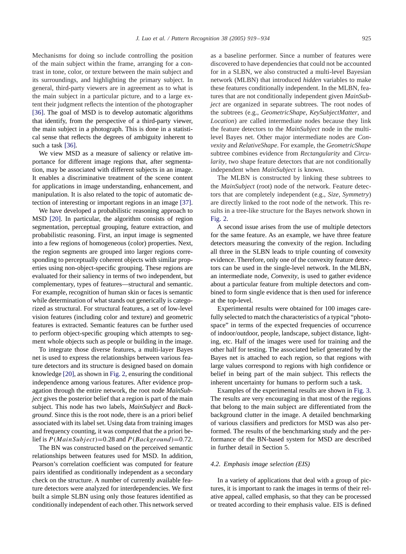*J.Luo et al./ Pattern Recognition 38 (2005) 919 – 934* 925

Mechanisms for doing so include controlling the position of the main subject within the frame, arranging for a contrast in tone, color, or texture between the main subject and its surroundings, and highlighting the primary subject. In general, third-party viewers are in agreement as to what is the main subject in a particular picture, and to a large extent their judgment reflects the intention of the photographer [\[36\].](#page-14-0) The goal of MSD is to develop automatic algorithms that identify, from the perspective of a third-party viewer, the main subject in a photograph. This is done in a statistical sense that reflects the degrees of ambiguity inherent to such a task [\[36\].](#page-14-0)

We view MSD as a measure of saliency or relative importance for different image regions that, after segmentation, may be associated with different subjects in an image. It enables a discriminative treatment of the scene content for applications in image understanding, enhancement, and manipulation. It is also related to the topic of automatic detection of interesting or important regions in an image [\[37\].](#page-14-0)

We have developed a probabilistic reasoning approach to MSD [\[20\].](#page-13-0) In particular, the algorithm consists of region segmentation, perceptual grouping, feature extraction, and probabilistic reasoning. First, an input image is segmented into a few regions of homogeneous (color) properties. Next, the region segments are grouped into larger regions corresponding to perceptually coherent objects with similar properties using non-object-specific grouping. These regions are evaluated for their saliency in terms of two independent, but complementary, types of features—structural and semantic. For example, recognition of human skin or faces is semantic while determination of what stands out generically is categorized as structural. For structural features, a set of low-level vision features (including color and texture) and geometric features is extracted. Semantic features can be further used to perform object-specific grouping which attempts to segment whole objects such as people or building in the image.

To integrate those diverse features, a multi-layer Bayes net is used to express the relationships between various feature detectors and its structure is designed based on domain knowledge [\[20\],](#page-13-0) as shown in [Fig. 2,](#page-7-0) ensuring the conditional independence among various features. After evidence propagation through the entire network, the root node *MainSubject* gives the posterior belief that a region is part of the main subject. This node has two labels, *MainSubject* and *Background*. Since this is the root node, there is an a priori belief associated with its label set. Using data from training images and frequency counting, it was computed that the a priori belief is  $P(MainSubject)=0.28$  and  $P(Background)=0.72$ .

The BN was constructed based on the perceived semantic relationships between features used for MSD. In addition, Pearson's correlation coefficient was computed for feature pairs identified as conditionally independent as a secondary check on the structure. A number of currently available feature detectors were analyzed for interdependencies. We first built a simple SLBN using only those features identified as conditionally independent of each other. This network served

as a baseline performer. Since a number of features were discovered to have dependencies that could not be accounted for in a SLBN, we also constructed a multi-level Bayesian network (MLBN) that introduced *hidden* variables to make these features conditionally independent. In the MLBN, features that are not conditionally independent given *MainSubject* are organized in separate subtrees. The root nodes of the subtrees (e.g., *GeometricShape*, *KeySubjectMatter*, and *Location*) are called intermediate nodes because they link the feature detectors to the *MainSubject* node in the multilevel Bayes net. Other major intermediate nodes are *Convexity* and *RelativeShape*. For example, the *GeometricShape* subtree combines evidence from *Rectangularity* and *Circularity*, two shape feature detectors that are not conditionally independent when *MainSubject* is known.

The MLBN is constructed by linking these subtrees to the *MainSubject* (root) node of the network. Feature detectors that are completely independent (e.g., *Size*, *Symmetry*) are directly linked to the root node of the network. This results in a tree-like structure for the Bayes network shown in [Fig. 2.](#page-7-0)

A second issue arises from the use of multiple detectors for the same feature. As an example, we have three feature detectors measuring the convexity of the region. Including all three in the SLBN leads to triple counting of convexity evidence. Therefore, only one of the convexity feature detectors can be used in the single-level network. In the MLBN, an intermediate node, *Convexity*, is used to gather evidence about a particular feature from multiple detectors and combined to form single evidence that is then used for inference at the top-level.

Experimental results were obtained for 100 images carefully selected to match the characteristics of a typical "photospace" in terms of the expected frequencies of occurrence of indoor/outdoor, people, landscape, subject distance, lighting, etc. Half of the images were used for training and the other half for testing. The associated belief generated by the Bayes net is attached to each region, so that regions with large values correspond to regions with high confidence or belief in being part of the main subject. This reflects the inherent uncertainty for humans to perform such a task.

Examples of the experimental results are shown in [Fig. 3.](#page-7-0) The results are very encouraging in that most of the regions that belong to the main subject are differentiated from the background clutter in the image. A detailed benchmarking of various classifiers and predictors for MSD was also performed. The results of the benchmarking study and the performance of the BN-based system for MSD are described in further detail in Section 5.

#### *4.2. Emphasis image selection (EIS)*

In a variety of applications that deal with a group of pictures, it is important to rank the images in terms of their relative appeal, called emphasis, so that they can be processed or treated according to their emphasis value. EIS is defined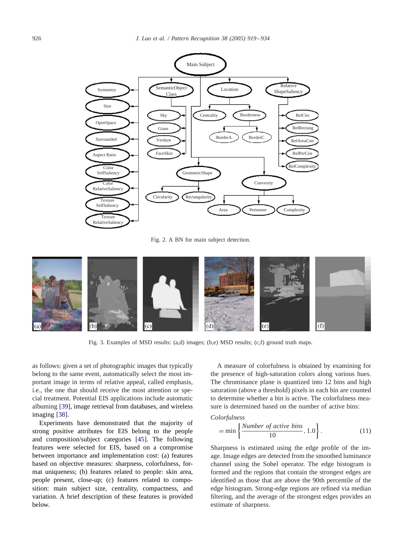<span id="page-7-0"></span>

Fig. 2. A BN for main subject detection.



Fig. 3. Examples of MSD results: (a,d) images; (b,e) MSD results; (c,f) ground truth maps.

as follows: given a set of photographic images that typically belong to the same event, automatically select the most important image in terms of relative appeal, called emphasis, i.e., the one that should receive the most attention or special treatment. Potential EIS applications include automatic albuming [\[39\],](#page-14-0) image retrieval from databases, and wireless imaging [\[38\].](#page-14-0)

Experiments have demonstrated that the majority of strong positive attributes for EIS belong to the people and composition/subject categories [\[45\].](#page-14-0) The following features were selected for EIS, based on a compromise between importance and implementation cost: (a) features based on objective measures: sharpness, colorfulness, format uniqueness; (b) features related to people: skin area, people present, close-up; (c) features related to composition: main subject size, centrality, compactness, and variation. A brief description of these features is provided below.

A measure of colorfulness is obtained by examining for the presence of high-saturation colors along various hues. The chrominance plane is quantized into 12 bins and high saturation (above a threshold) pixels in each bin are counted to determine whether a bin is active. The colorfulness measure is determined based on the number of active bins:

*Colorfulness*

$$
= \min \left\{ \frac{Number\ of\ active\ bins}{10}, 1.0 \right\}.
$$
 (11)

Sharpness is estimated using the edge profile of the image. Image edges are detected from the smoothed luminance channel using the Sobel operator. The edge histogram is formed and the regions that contain the strongest edges are identified as those that are above the 90th percentile of the edge histogram. Strong-edge regions are refined via median filtering, and the average of the strongest edges provides an estimate of sharpness.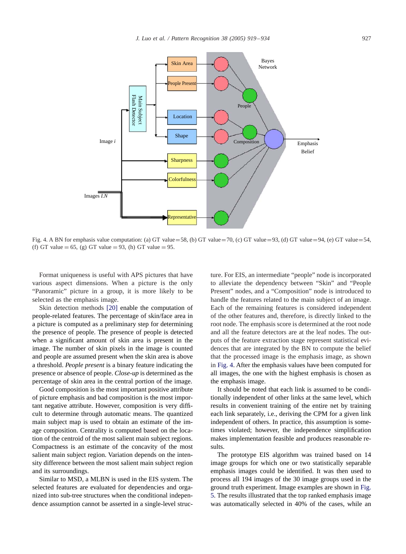

Fig. 4. A BN for emphasis value computation: (a) GT value=58, (b) GT value=70, (c) GT value=93, (d) GT value=94, (e) GT value=54, (f) GT value  $= 65$ , (g) GT value  $= 93$ , (h) GT value  $= 95$ .

Format uniqueness is useful with APS pictures that have various aspect dimensions. When a picture is the only "Panoramic" picture in a group, it is more likely to be selected as the emphasis image.

Skin detection methods [\[20\]](#page-13-0) enable the computation of people-related features. The percentage of skin/face area in a picture is computed as a preliminary step for determining the presence of people. The presence of people is detected when a significant amount of skin area is present in the image. The number of skin pixels in the image is counted and people are assumed present when the skin area is above a threshold. *People present* is a binary feature indicating the presence or absence of people. *Close-up* is determined as the percentage of skin area in the central portion of the image.

Good composition is the most important positive attribute of picture emphasis and bad composition is the most important negative attribute. However, composition is very difficult to determine through automatic means. The quantized main subject map is used to obtain an estimate of the image composition. Centrality is computed based on the location of the centroid of the most salient main subject regions. Compactness is an estimate of the concavity of the most salient main subject region. Variation depends on the intensity difference between the most salient main subject region and its surroundings.

Similar to MSD, a MLBN is used in the EIS system. The selected features are evaluated for dependencies and organized into sub-tree structures when the conditional independence assumption cannot be asserted in a single-level structure. For EIS, an intermediate "people" node is incorporated to alleviate the dependency between "Skin" and "People Present" nodes, and a "Composition" node is introduced to handle the features related to the main subject of an image. Each of the remaining features is considered independent of the other features and, therefore, is directly linked to the root node. The emphasis score is determined at the root node and all the feature detectors are at the leaf nodes. The outputs of the feature extraction stage represent statistical evidences that are integrated by the BN to compute the belief that the processed image is the emphasis image, as shown in Fig. 4. After the emphasis values have been computed for all images, the one with the highest emphasis is chosen as the emphasis image.

It should be noted that each link is assumed to be conditionally independent of other links at the same level, which results in convenient training of the entire net by training each link separately, i.e., deriving the CPM for a given link independent of others. In practice, this assumption is sometimes violated; however, the independence simplification makes implementation feasible and produces reasonable results.

The prototype EIS algorithm was trained based on 14 image groups for which one or two statistically separable emphasis images could be identified. It was then used to process all 194 images of the 30 image groups used in the ground truth experiment. Image examples are shown in Fig. 5[.](#page-9-0) [The](#page-9-0) [results](#page-9-0) [illustrated](#page-9-0) [that](#page-9-0) [the](#page-9-0) [top](#page-9-0) [ranked](#page-9-0) [emphasis](#page-9-0) [im](#page-9-0)age was automatically selected in 40% of the cases, while an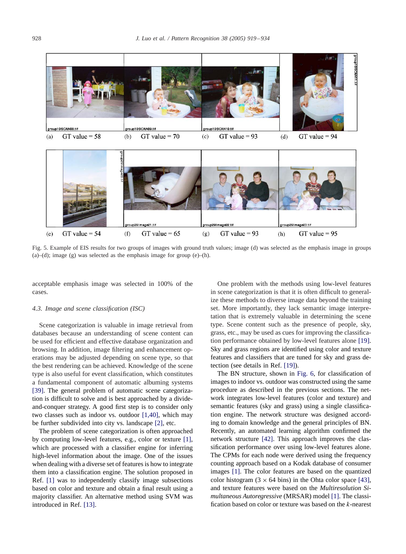<span id="page-9-0"></span>



Fig. 5. Example of EIS results for two groups of images with ground truth values; image (d) was selected as the emphasis image in groups  $(a)$ – $(d)$ ; image  $(g)$  was selected as the emphasis image for group  $(e)$ – $(h)$ .

acceptable emphasis image was selected in 100% of the cases.

# *4.3. Image and scene classification (ISC)*

Scene categorization is valuable in image retrieval from databases because an understanding of scene content can be used for efficient and effective database organization and browsing. In addition, image filtering and enhancement operations may be adjusted depending on scene type, so that the best rendering can be achieved. Knowledge of the scene type is also useful for event classification, which constitutes a fundamental component of automatic albuming systems [\[39\].](#page-14-0) The general problem of automatic scene categorization is difficult to solve and is best approached by a divideand-conquer strategy. A good first step is to consider only two classes such as indoor vs. outdoor  $[1,40]$ , which may be further subdivided into city vs. landscape [\[2\],](#page-13-0) etc.

The problem of scene categorization is often approached by computing low-level features, e.g., color or texture [\[1\],](#page-13-0) which are processed with a classifier engine for inferring high-level information about the image. One of the issues when dealing with a diverse set of features is how to integrate them into a classification engine. The solution proposed in Ref. [\[1\]](#page-13-0) was to independently classify image subsections based on color and texture and obtain a final result using a majority classifier. An alternative method using SVM was introduced in Ref. [\[13\].](#page-13-0)

One problem with the methods using low-level features in scene categorization is that it is often difficult to generalize these methods to diverse image data beyond the training set. More importantly, they lack semantic image interpretation that is extremely valuable in determining the scene type. Scene content such as the presence of people, sky, grass, etc., may be used as cues for improving the classification performance obtained by low-level features alone [\[19\].](#page-13-0) Sky and grass regions are identified using color and texture features and classifiers that are tuned for sky and grass detection (see details in Ref. [\[19\]\)](#page-13-0).

The BN structure, shown in [Fig. 6,](#page-10-0) for classification of images to indoor vs. outdoor was constructed using the same procedure as described in the previous sections. The network integrates low-level features (color and texture) and semantic features (sky and grass) using a single classification engine. The network structure was designed according to domain knowledge and the general principles of BN. Recently, an automated learning algorithm confirmed the network structure [\[42\].](#page-14-0) This approach improves the classification performance over using low-level features alone. The CPMs for each node were derived using the frequency counting approach based on a Kodak database of consumer images [\[1\].](#page-13-0) The color features are based on the quantized color histogram  $(3 \times 64$  bins) in the Ohta color space [\[43\],](#page-14-0) and texture features were based on the *Multiresolution Simultaneous Autoregressive* (MRSAR) model [\[1\].](#page-13-0) The classification based on color or texture was based on the k-nearest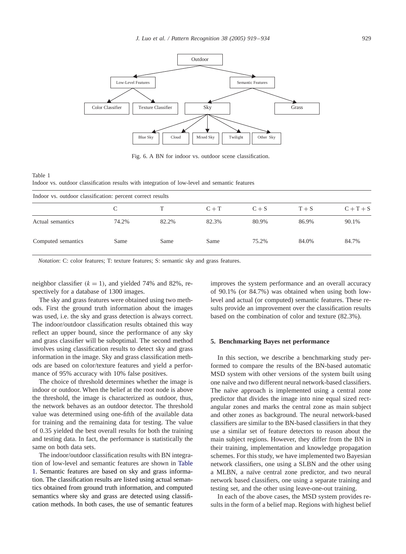<span id="page-10-0"></span>

Fig. 6. A BN for indoor vs. outdoor scene classification.

Table 1

Indoor vs. outdoor classification results with integration of low-level and semantic features

| Indoor vs. outdoor classification: percent correct results |       |       |       |         |         |         |  |
|------------------------------------------------------------|-------|-------|-------|---------|---------|---------|--|
|                                                            | C     |       | $C+T$ | $C + S$ | $T + S$ | $C+T+S$ |  |
| Actual semantics                                           | 74.2% | 82.2% | 82.3% | 80.9%   | 86.9%   | 90.1%   |  |
| Computed semantics                                         | Same  | Same  | Same  | 75.2%   | 84.0%   | 84.7%   |  |

*Notation*: C: color features; T: texture features; S: semantic sky and grass features.

neighbor classifier  $(k = 1)$ , and yielded 74% and 82%, respectively for a database of 1300 images.

The sky and grass features were obtained using two methods. First the ground truth information about the images was used, i.e. the sky and grass detection is always correct. The indoor/outdoor classification results obtained this way reflect an upper bound, since the performance of any sky and grass classifier will be suboptimal. The second method involves using classification results to detect sky and grass information in the image. Sky and grass classification methods are based on color/texture features and yield a performance of 95% accuracy with 10% false positives.

The choice of threshold determines whether the image is indoor or outdoor. When the belief at the root node is above the threshold, the image is characterized as outdoor, thus, the network behaves as an outdoor detector. The threshold value was determined using one-fifth of the available data for training and the remaining data for testing. The value of 0.35 yielded the best overall results for both the training and testing data. In fact, the performance is statistically the same on both data sets.

The indoor/outdoor classification results with BN integration of low-level and semantic features are shown in Table 1. Semantic features are based on sky and grass information. The classification results are listed using actual semantics obtained from ground truth information, and computed semantics where sky and grass are detected using classification methods. In both cases, the use of semantic features improves the system performance and an overall accuracy of 90.1% (or 84.7%) was obtained when using both lowlevel and actual (or computed) semantic features. These results provide an improvement over the classification results based on the combination of color and texture (82.3%).

# **5. Benchmarking Bayes net performance**

In this section, we describe a benchmarking study performed to compare the results of the BN-based automatic MSD system with other versions of the system built using one naïve and two different neural network-based classifiers. The naïve approach is implemented using a central zone predictor that divides the image into nine equal sized rectangular zones and marks the central zone as main subject and other zones as background. The neural network-based classifiers are similar to the BN-based classifiers in that they use a similar set of feature detectors to reason about the main subject regions. However, they differ from the BN in their training, implementation and knowledge propagation schemes. For this study, we have implemented two Bayesian network classifiers, one using a SLBN and the other using a MLBN, a naïve central zone predictor, and two neural network based classifiers, one using a separate training and testing set, and the other using leave-one-out training.

In each of the above cases, the MSD system provides results in the form of a belief map. Regions with highest belief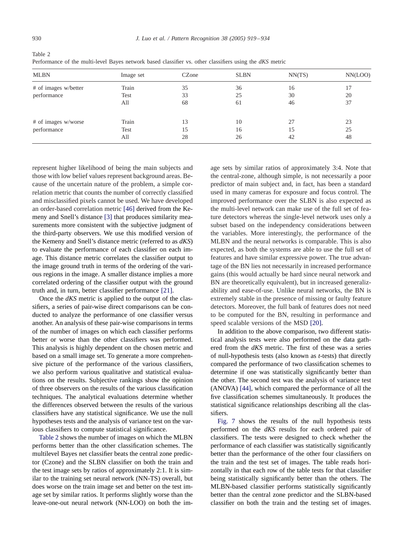| <b>MLBN</b>          | Image set | CZone | <b>SLBN</b> | NN(TS) | NN(LOO) |
|----------------------|-----------|-------|-------------|--------|---------|
| # of images w/better | Train     | 35    | 36          | 16     | 17      |
| performance          | Test      | 33    | 25          | 30     | 20      |
|                      | All       | 68    | 61          | 46     | 37      |
| # of images w/worse  | Train     | 13    | 10          | 27     | 23      |
| performance          | Test      | 15    | 16          | 15     | 25      |
|                      | All       | 28    | 26          | 42     | 48      |
|                      |           |       |             |        |         |

Table 2 Performance of the multi-level Bayes network based classifier vs. other classifiers using the *dKS* metric

represent higher likelihood of being the main subjects and those with low belief values represent background areas. Because of the uncertain nature of the problem, a simple correlation metric that counts the number of correctly classified and misclassified pixels cannot be used. We have developed an order-based correlation metric [\[46\]](#page-14-0) derived from the Kemeny and Snell's distance [\[3\]](#page-13-0) that produces similarity measurements more consistent with the subjective judgment of the third-party observers. We use this modified version of the Kemeny and Snell's distance metric (referred to as *dKS*) to evaluate the performance of each classifier on each image. This distance metric correlates the classifier output to the image ground truth in terms of the ordering of the various regions in the image. A smaller distance implies a more correlated ordering of the classifier output with the ground truth and, in turn, better classifier performance [\[21\].](#page-13-0)

Once the *dKS* metric is applied to the output of the classifiers, a series of pair-wise direct comparisons can be conducted to analyze the performance of one classifier versus another. An analysis of these pair-wise comparisons in terms of the number of images on which each classifier performs better or worse than the other classifiers was performed. This analysis is highly dependent on the chosen metric and based on a small image set. To generate a more comprehensive picture of the performance of the various classifiers, we also perform various qualitative and statistical evaluations on the results. Subjective rankings show the opinion of three observers on the results of the various classification techniques. The analytical evaluations determine whether the differences observed between the results of the various classifiers have any statistical significance. We use the null hypotheses tests and the analysis of variance test on the various classifiers to compute statistical significance.

Table 2 shows the number of images on which the MLBN performs better than the other classification schemes. The multilevel Bayes net classifier beats the central zone predictor (Czone) and the SLBN classifier on both the train and the test image sets by ratios of approximately 2:1. It is similar to the training set neural network (NN-TS) overall, but does worse on the train image set and better on the test image set by similar ratios. It performs slightly worse than the leave-one-out neural network (NN-LOO) on both the im-

age sets by similar ratios of approximately 3:4. Note that the central-zone, although simple, is not necessarily a poor predictor of main subject and, in fact, has been a standard used in many cameras for exposure and focus control. The improved performance over the SLBN is also expected as the multi-level network can make use of the full set of feature detectors whereas the single-level network uses only a subset based on the independency considerations between the variables. More interestingly, the performance of the MLBN and the neural networks is comparable. This is also expected, as both the systems are able to use the full set of features and have similar expressive power. The true advantage of the BN lies not necessarily in increased performance gains (this would actually be hard since neural network and BN are theoretically equivalent), but in increased generalizability and ease-of-use. Unlike neural networks, the BN is extremely stable in the presence of missing or faulty feature detectors. Moreover, the full bank of features does not need to be computed for the BN, resulting in performance and speed scalable versions of the MSD [\[20\].](#page-13-0)

In addition to the above comparison, two different statistical analysis tests were also performed on the data gathered from the *dKS* metric. The first of these was a series of null-hypothesis tests (also known as *t*-tests) that directly compared the performance of two classification schemes to determine if one was statistically significantly better than the other. The second test was the analysis of variance test (ANOVA) [\[44\],](#page-14-0) which compared the performance of all the five classification schemes simultaneously. It produces the statistical significance relationships describing all the classifiers.

[Fig. 7](#page-12-0) shows the results of the null hypothesis tests performed on the *dKS* results for each ordered pair of classifiers. The tests were designed to check whether the performance of each classifier was statistically significantly better than the performance of the other four classifiers on the train and the test set of images. The table reads horizontally in that each row of the table tests for that classifier being statistically significantly better than the others. The MLBN-based classifier performs statistically significantly better than the central zone predictor and the SLBN-based classifier on both the train and the testing set of images.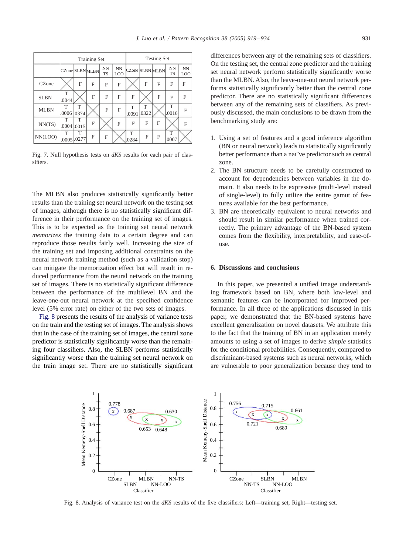| ٧             |                   |  |
|---------------|-------------------|--|
| ۰,<br>۰.<br>v | ×<br>۰.<br>$\sim$ |  |

<span id="page-12-0"></span>

|             | <b>Training Set</b> |                     |                |                        | <b>Testing Set</b>           |           |                        |                 |                        |                              |
|-------------|---------------------|---------------------|----------------|------------------------|------------------------------|-----------|------------------------|-----------------|------------------------|------------------------------|
|             |                     |                     | CZone SLBNMLBN | <b>NN</b><br><b>TS</b> | <b>NN</b><br>LO <sub>O</sub> |           |                        | CZone SLBN MLBN | <b>NN</b><br><b>TS</b> | <b>NN</b><br>LO <sub>O</sub> |
| CZone       |                     | F                   | F              | F                      | F                            |           | F                      | F               | F                      | F                            |
| <b>SLBN</b> | T<br>.0044          |                     | F              | F                      | F                            | F         |                        | F               | F                      | F                            |
| <b>MLBN</b> | T                   | T<br>$.0006$ $0374$ |                | F                      | F                            | T         | T<br>$0.0091$ $0.0322$ |                 | T<br>.0016             | F                            |
| NN(TS)      | T                   | T<br>.0004 .0015    | F              |                        | F                            | F         | F                      | F               |                        | F                            |
| NN(LOO)     | T<br>.0005          | T<br>.0277          | F              | F                      |                              | T<br>0284 | F                      | F               | T<br>.0007             |                              |

Fig. 7. Null hypothesis tests on *dKS* results for each pair of classifiers.

The MLBN also produces statistically significantly better results than the training set neural network on the testing set of images, although there is no statistically significant difference in their performance on the training set of images. This is to be expected as the training set neural network *memorizes* the training data to a certain degree and can reproduce those results fairly well. Increasing the size of the training set and imposing additional constraints on the neural network training method (such as a validation stop) can mitigate the memorization effect but will result in reduced performance from the neural network on the training set of images. There is no statistically significant difference between the performance of the multilevel BN and the leave-one-out neural network at the specified confidence level (5% error rate) on either of the two sets of images.

Fig. 8 presents the results of the analysis of variance tests on the train and the testing set of images. The analysis shows that in the case of the training set of images, the central zone predictor is statistically significantly worse than the remaining four classifiers. Also, the SLBN performs statistically significantly worse than the training set neural network on the train image set. There are no statistically significant

differences between any of the remaining sets of classifiers. On the testing set, the central zone predictor and the training set neural network perform statistically significantly worse than the MLBN. Also, the leave-one-out neural network performs statistically significantly better than the central zone predictor. There are no statistically significant differences between any of the remaining sets of classifiers. As previously discussed, the main conclusions to be drawn from the benchmarking study are:

- 1. Using a set of features and a good inference algorithm (BN or neural network) leads to statistically significantly better performance than a naı¨ve predictor such as central zone.
- 2. The BN structure needs to be carefully constructed to account for dependencies between variables in the domain. It also needs to be expressive (multi-level instead of single-level) to fully utilize the entire gamut of features available for the best performance.
- 3. BN are theoretically equivalent to neural networks and should result in similar performance when trained correctly. The primary advantage of the BN-based system comes from the flexibility, interpretability, and ease-ofuse.

## **6. Discussions and conclusions**

In this paper, we presented a unified image understanding framework based on BN, where both low-level and semantic features can be incorporated for improved performance. In all three of the applications discussed in this paper, we demonstrated that the BN-based systems have excellent generalization on novel datasets. We attribute this to the fact that the training of BN in an application merely amounts to using a set of images to derive *simple* statistics for the conditional probabilities. Consequently, compared to discriminant-based systems such as neural networks, which are vulnerable to poor generalization because they tend to



Fig. 8. Analysis of variance test on the *dKS* results of the five classifiers: Left—training set, Right—testing set.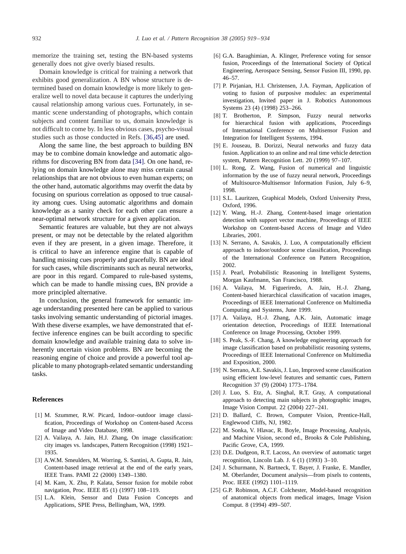<span id="page-13-0"></span>memorize the training set, testing the BN-based systems generally does not give overly biased results.

Domain knowledge is critical for training a network that exhibits good generalization. A BN whose structure is determined based on domain knowledge is more likely to generalize well to novel data because it captures the underlying causal relationship among various cues. Fortunately, in semantic scene understanding of photographs, which contain subjects and content familiar to us, domain knowledge is not difficult to come by. In less obvious cases, psycho-visual studies such as those conducted in Refs. [36,45] are used.

Along the same line, the best approach to building BN may be to combine domain knowledge and automatic algorithms for discovering BN from data [\[34\].](#page-14-0) On one hand, relying on domain knowledge alone may miss certain causal relationships that are not obvious to even human experts; on the other hand, automatic algorithms may overfit the data by focusing on spurious correlation as opposed to true causality among cues. Using automatic algorithms and domain knowledge as a sanity check for each other can ensure a near-optimal network structure for a given application.

Semantic features are valuable, but they are not always present, or may not be detectable by the related algorithm even if they are present, in a given image. Therefore, it is critical to have an inference engine that is capable of handling missing cues properly and gracefully. BN are ideal for such cases, while discriminants such as neural networks, are poor in this regard. Compared to rule-based systems, which can be made to handle missing cues, BN provide a more principled alternative.

In conclusion, the general framework for semantic image understanding presented here can be applied to various tasks involving semantic understanding of pictorial images. With these diverse examples, we have demonstrated that effective inference engines can be built according to specific domain knowledge and available training data to solve inherently uncertain vision problems. BN are becoming the reasoning engine of choice and provide a powerful tool applicable to many photograph-related semantic understanding tasks.

# **References**

- [1] M. Szummer, R.W. Picard, Indoor–outdoor image classification, Proceedings of Workshop on Content-based Access of Image and Video Database, 1998.
- [2] A. Vailaya, A. Jain, H.J. Zhang, On image classification: city images vs. landscapes, Pattern Recognition (1998) 1921– 1935.
- [3] A.W.M. Smeulders, M. Worring, S. Santini, A. Gupta, R. Jain, Content-based image retrieval at the end of the early years, IEEE Trans. PAMI 22 (2000) 1349–1380.
- [4] M. Kam, X. Zhu, P. Kalata, Sensor fusion for mobile robot navigation, Proc. IEEE 85 (1) (1997) 108–119.
- [5] L.A. Klein, Sensor and Data Fusion Concepts and Applications, SPIE Press, Bellingham, WA, 1999.
- [6] G.A. Baraghimian, A. Klinger, Preference voting for sensor fusion, Proceedings of the International Society of Optical Engineering, Aerospace Sensing, Sensor Fusion III, 1990, pp. 46–57.
- [7] P. Pirjanian, H.I. Christensen, J.A. Fayman, Application of voting to fusion of purposive modules: an experimental investigation, Invited paper in J. Robotics Autonomous Systems 23 (4) (1998) 253–266.
- [8] T. Brotherton, P. Simpson, Fuzzy neural networks for hierarchical fusion with applications, Proceedings of International Conference on Multisensor Fusion and Integration for Intelligent Systems, 1994.
- [9] E. Jouseau, B. Dorizzi, Neural networks and fuzzy data fusion. Application to an online and real time vehicle detection system, Pattern Recognition Lett. 20 (1999) 97–107.
- [10] L. Rong, Z. Wang, Fusion of numerical and linguistic information by the use of fuzzy neural network, Proceedings of Multisource-Multisensor Information Fusion, July 6–9, 1998.
- [11] S.L. Lauritzen, Graphical Models, Oxford University Press, Oxford, 1996.
- [12] Y. Wang, H.-J. Zhang, Content-based image orientation detection with support vector machine, Proceedings of IEEE Workshop on Content-based Access of Image and Video Libraries, 2001.
- [13] N. Serrano, A. Savakis, J. Luo, A computationally efficient approach to indoor/outdoor scene classification, Proceedings of the International Conference on Pattern Recognition, 2002.
- [15] J. Pearl, Probabilistic Reasoning in Intelligent Systems, Morgan Kaufmann, San Francisco, 1988.
- [16] A. Vailaya, M. Figueriredo, A. Jain, H.-J. Zhang, Content-based hierarchical classification of vacation images, Proceedings of IEEE International Conference on Multimedia Computing and Systems, June 1999.
- [17] A. Vailaya, H.-J. Zhang, A.K. Jain, Automatic image orientation detection, Proceedings of IEEE International Conference on Image Processing, October 1999.
- [18] S. Peak, S.-F. Chang, A knowledge engineering approach for image classification based on probabilistic reasoning systems, Proceedings of IEEE International Conference on Multimedia and Exposition, 2000.
- [19] N. Serrano, A.E. Savakis, J. Luo, Improved scene classification using efficient low-level features and semantic cues, Pattern Recognition 37 (9) (2004) 1773–1784.
- [20] J. Luo, S. Etz, A. Singhal, R.T. Gray, A computational approach to detecting main subjects in photographic images, Image Vision Comput. 22 (2004) 227–241.
- [21] D. Ballard, C. Brown, Computer Vision, Prentice-Hall, Englewood Cliffs, NJ, 1982.
- [22] M. Sonka, V. Hlavac, R. Boyle, Image Processing, Analysis, and Machine Vision, second ed., Brooks & Cole Publishing, Pacific Grove, CA, 1999.
- [23] D.E. Dudgeon, R.T. Lacoss, An overview of automatic target recognition, Lincoln Lab. J. 6 (1) (1993) 3–10.
- [24] J. Schurmann, N. Bartneck, T. Bayer, J. Franke, E. Mandler, M. Oberlander, Document analysis—from pixels to contents, Proc. IEEE (1992) 1101–1119.
- [25] G.P. Robinson, A.C.F. Colchester, Model-based recognition of anatomical objects from medical images, Image Vision Comput. 8 (1994) 499–507.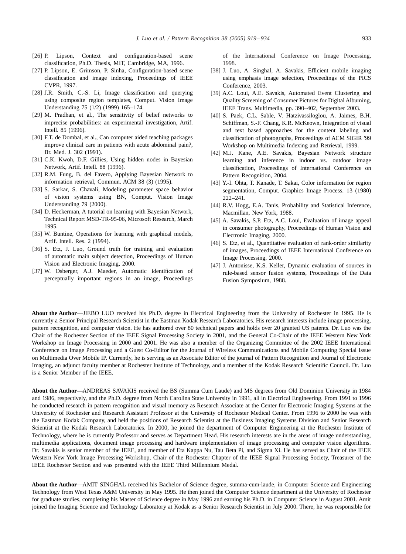- <span id="page-14-0"></span>[26] P. Lipson, Context and configuration-based scene classification, Ph.D. Thesis, MIT, Cambridge, MA, 1996.
- [27] P. Lipson, E. Grimson, P. Sinha, Configuration-based scene classification and image indexing, Proceedings of IEEE CVPR, 1997.
- [28] J.R. Smith, C.-S. Li, Image classification and querying using composite region templates, Comput. Vision Image Understanding 75 (1/2) (1999) 165–174.
- [29] M. Pradhan, et al., The sensitivity of belief networks to imprecise probabilities: an experimental investigation, Artif. Intell. 85 (1996).
- [30] F.T. de Dombal, et al., Can computer aided teaching packages improve clinical care in patients with acute abdominal pain?, Br. Med. J. 302 (1991).
- [31] C.K. Kwoh, D.F. Gillies, Using hidden nodes in Bayesian Network, Artif. Intell. 88 (1996).
- [32] R.M. Fung, B. del Favero, Applying Bayesian Network to information retrieval, Commun. ACM 38 (3) (1995).
- [33] S. Sarkar, S. Chavali, Modeling parameter space behavior of vision systems using BN, Comput. Vision Image Understanding 79 (2000).
- [34] D. Heckerman, A tutorial on learning with Bayesian Network, Technical Report MSD-TR-95-06, Microsoft Research, March 1995.
- [35] W. Buntine, Operations for learning with graphical models, Artif. Intell. Res. 2 (1994).
- [36] S. Etz, J. Luo, Ground truth for training and evaluation of automatic main subject detection, Proceedings of Human Vision and Electronic Imaging, 2000.
- [37] W. Osberger, A.J. Maeder, Automatic identification of perceptually important regions in an image, Proceedings

of the International Conference on Image Processing, 1998.

- [38] J. Luo, A. Singhal, A. Savakis, Efficient mobile imaging using emphasis image selection, Proceedings of the PICS Conference, 2003.
- [39] A.C. Loui, A.E. Savakis, Automated Event Clustering and Quality Screening of Consumer Pictures for Digital Albuming, IEEE Trans. Multimedia, pp. 390–402, September 2003.
- [40] S. Paek, C.L. Sable, V. Hatzivassiloglou, A. Jaimes, B.H. Schiffman, S.-F. Chang, K.R. McKeown, Integration of visual and text based approaches for the content labeling and classification of photographs, Proceedings of ACM SIGIR '99 Workshop on Multimedia Indexing and Retrieval, 1999.
- [42] M.J. Kane, A.E. Savakis, Bayesian Network structure learning and inference in indoor vs. outdoor image classification, Proceedings of International Conference on Pattern Recognition, 2004.
- [43] Y.-I. Ohta, T. Kanade, T. Sakai, Color information for region segmentation, Comput. Graphics Image Process. 13 (1980) 222–241.
- [44] R.V. Hogg, E.A. Tanis, Probability and Statistical Inference, Macmillan, New York, 1988.
- [45] A. Savakis, S.P. Etz, A.C. Loui, Evaluation of image appeal in consumer photography, Proceedings of Human Vision and Electronic Imaging, 2000.
- [46] S. Etz, et al., Quantitative evaluation of rank-order similarity of images, Proceedings of IEEE International Conference on Image Processing, 2000.
- [47] J. Antonisse, K.S. Keller, Dynamic evaluation of sources in rule-based sensor fusion systems, Proceedings of the Data Fusion Symposium, 1988.

**About the Author**—JIEBO LUO received his Ph.D. degree in Electrical Engineering from the University of Rochester in 1995. He is currently a Senior Principal Research Scientist in the Eastman Kodak Research Laboratories. His research interests include image processing, pattern recognition, and computer vision. He has authored over 80 technical papers and holds over 20 granted US patents. Dr. Luo was the Chair of the Rochester Section of the IEEE Signal Processing Society in 2001, and the General Co-Chair of the IEEE Western New York Workshop on Image Processing in 2000 and 2001. He was also a member of the Organizing Committee of the 2002 IEEE International Conference on Image Processing and a Guest Co-Editor for the Journal of Wireless Communications and Mobile Computing Special Issue on Multimedia Over Mobile IP. Currently, he is serving as an Associate Editor of the journal of Pattern Recognition and Journal of Electronic Imaging, an adjunct faculty member at Rochester Institute of Technology, and a member of the Kodak Research Scientific Council. Dr. Luo is a Senior Member of the IEEE.

**About the Author**—ANDREAS SAVAKIS received the BS (Summa Cum Laude) and MS degrees from Old Dominion University in 1984 and 1986, respectively, and the Ph.D. degree from North Carolina State University in 1991, all in Electrical Engineering. From 1991 to 1996 he conducted research in pattern recognition and visual memory as Research Associate at the Center for Electronic Imaging Systems at the University of Rochester and Research Assistant Professor at the University of Rochester Medical Center. From 1996 to 2000 he was with the Eastman Kodak Company, and held the positions of Research Scientist at the Business Imaging Systems Division and Senior Research Scientist at the Kodak Research Laboratories. In 2000, he joined the department of Computer Engineering at the Rochester Institute of Technology, where he is currently Professor and serves as Department Head. His research interests are in the areas of image understanding, multimedia applications, document image processing and hardware implementation of image processing and computer vision algorithms. Dr. Savakis is senior member of the IEEE, and member of Eta Kappa Nu, Tau Beta Pi, and Sigma Xi. He has served as Chair of the IEEE Western New York Image Processing Workshop, Chair of the Rochester Chapter of the IEEE Signal Processing Society, Treasurer of the IEEE Rochester Section and was presented with the IEEE Third Millennium Medal.

**About the Author**—AMIT SINGHAL received his Bachelor of Science degree, summa-cum-laude, in Computer Science and Engineering Technology from West Texas A&M University in May 1995. He then joined the Computer Science department at the University of Rochester for graduate studies, completing his Master of Science degree in May 1996 and earning his Ph.D. in Computer Science in August 2001. Amit joined the Imaging Science and Technology Laboratory at Kodak as a Senior Research Scientist in July 2000. There, he was responsible for